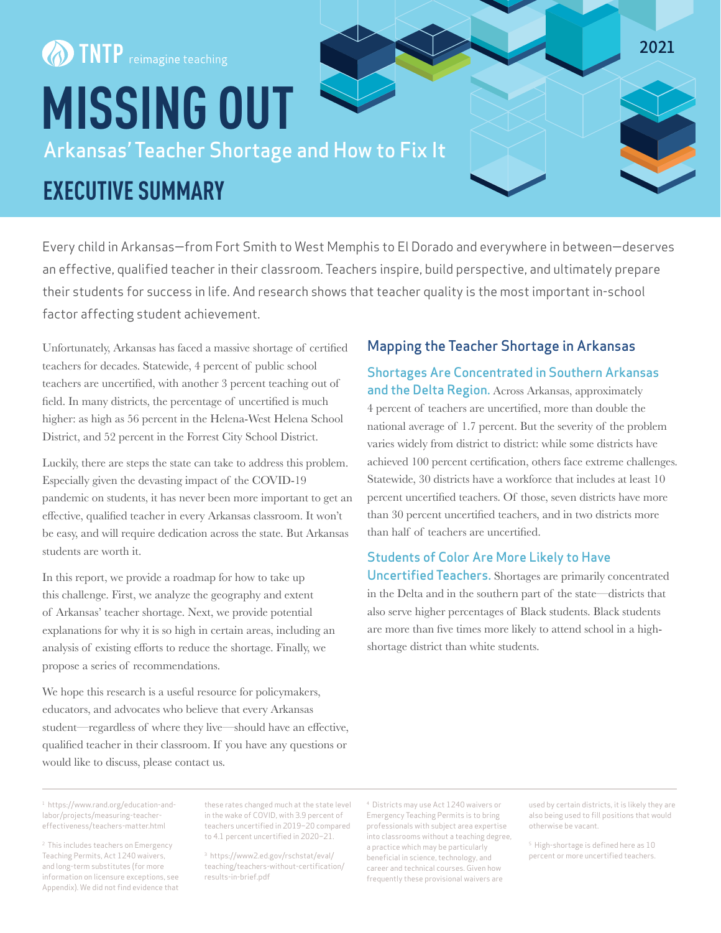# **OD TNTP** reimagine teaching **MISSING OUT** Arkansas' Teacher Shortage and How to Fix It

## **EXECUTIVE SUMMARY**

Every child in Arkansas—from Fort Smith to West Memphis to El Dorado and everywhere in between—deserves an effective, qualified teacher in their classroom. Teachers inspire, build perspective, and ultimately prepare their students for success in life. And research shows that teacher quality is the most important in-school factor affecting student achievement.

Unfortunately, Arkansas has faced a massive shortage of certified teachers for decades. Statewide, 4 percent of public school teachers are uncertified, with another 3 percent teaching out of field. In many districts, the percentage of uncertified is much higher: as high as 56 percent in the Helena-West Helena School District, and 52 percent in the Forrest City School District.

Luckily, there are steps the state can take to address this problem. Especially given the devasting impact of the COVID-19 pandemic on students, it has never been more important to get an effective, qualified teacher in every Arkansas classroom. It won't be easy, and will require dedication across the state. But Arkansas students are worth it.

In this report, we provide a roadmap for how to take up this challenge. First, we analyze the geography and extent of Arkansas' teacher shortage. Next, we provide potential explanations for why it is so high in certain areas, including an analysis of existing efforts to reduce the shortage. Finally, we propose a series of recommendations.

We hope this research is a useful resource for policymakers, educators, and advocates who believe that every Arkansas student—regardless of where they live—should have an effective, qualified teacher in their classroom. If you have any questions or would like to discuss, please contact us.

### Mapping the Teacher Shortage in Arkansas

Shortages Are Concentrated in Southern Arkansas and the Delta Region. Across Arkansas, approximately 4 percent of teachers are uncertified, more than double the national average of 1.7 percent. But the severity of the problem varies widely from district to district: while some districts have achieved 100 percent certification, others face extreme challenges. Statewide, 30 districts have a workforce that includes at least 10 percent uncertified teachers. Of those, seven districts have more than 30 percent uncertified teachers, and in two districts more than half of teachers are uncertified.

#### Students of Color Are More Likely to Have

Uncertified Teachers. Shortages are primarily concentrated in the Delta and in the southern part of the state—districts that also serve higher percentages of Black students. Black students are more than five times more likely to attend school in a highshortage district than white students.

1 https://www.rand.org/education-andlabor/projects/measuring-teachereffectiveness/teachers-matter.html

2 This includes teachers on Emergency Teaching Permits, Act 1240 waivers, and long-term substitutes (for more information on licensure exceptions, see Appendix). We did not find evidence that

these rates changed much at the state level in the wake of COVID, with 3.9 percent of teachers uncertified in 2019–20 compared to 4.1 percent uncertified in 2020–21.

3 https://www2.ed.gov/rschstat/eval/ teaching/teachers-without-certification/ results-in-brief.pdf

4 Districts may use Act 1240 waivers or Emergency Teaching Permits is to bring professionals with subject area expertise into classrooms without a teaching degree, a practice which may be particularly beneficial in science, technology, and career and technical courses. Given how frequently these provisional waivers are

used by certain districts, it is likely they are also being used to fill positions that would otherwise be vacant.

**2021**

5 High-shortage is defined here as 10 percent or more uncertified teachers.